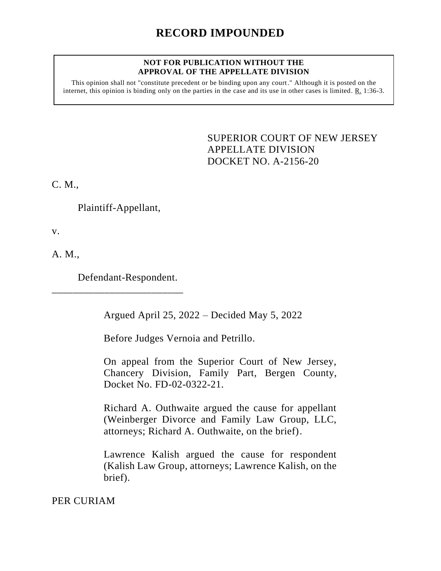## **NOT FOR PUBLICATION WITHOUT THE APPROVAL OF THE APPELLATE DIVISION**

This opinion shall not "constitute precedent or be binding upon any court." Although it is posted on the internet, this opinion is binding only on the parties in the case and its use in other cases is limited. R. 1:36-3.

> <span id="page-0-0"></span>SUPERIOR COURT OF NEW JERSEY APPELLATE DIVISION DOCKET NO. A-2156-20

C. M.,

Plaintiff-Appellant,

v.

A. M.,

Defendant-Respondent.

\_\_\_\_\_\_\_\_\_\_\_\_\_\_\_\_\_\_\_\_\_\_\_\_\_

Argued April 25, 2022 – Decided May 5, 2022

Before Judges Vernoia and Petrillo.

On appeal from the Superior Court of New Jersey, Chancery Division, Family Part, Bergen County, Docket No. FD-02-0322-21.

Richard A. Outhwaite argued the cause for appellant (Weinberger Divorce and Family Law Group, LLC, attorneys; Richard A. Outhwaite, on the brief).

Lawrence Kalish argued the cause for respondent (Kalish Law Group, attorneys; Lawrence Kalish, on the brief).

PER CURIAM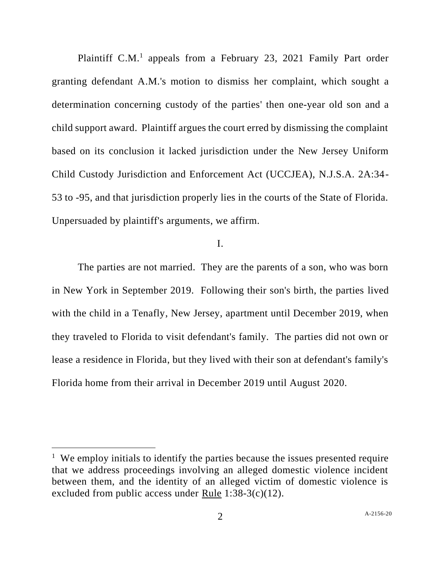Plaintiff C.M.<sup>1</sup> appeals from a February 23, 2021 Family Part order granting defendant A.M.'s motion to dismiss her complaint, which sought a determination concerning custody of the parties' then one-year old son and a child support award. Plaintiff argues the court erred by dismissing the complaint based on its conclusion it lacked jurisdiction under the New Jersey Uniform Child Custody Jurisdiction and Enforcement Act (UCCJEA), N.J.S.A. 2A:34- 53 to -95, and that jurisdiction properly lies in the courts of the State of Florida. Unpersuaded by plaintiff's arguments, we affirm.

I.

The parties are not married. They are the parents of a son, who was born in New York in September 2019. Following their son's birth, the parties lived with the child in a Tenafly, New Jersey, apartment until December 2019, when they traveled to Florida to visit defendant's family. The parties did not own or lease a residence in Florida, but they lived with their son at defendant's family's Florida home from their arrival in December 2019 until August 2020.

<sup>&</sup>lt;sup>1</sup> We employ initials to identify the parties because the issues presented require that we address proceedings involving an alleged domestic violence incident between them, and the identity of an alleged victim of domestic violence is excluded from public access under Rule 1:38-3(c)(12).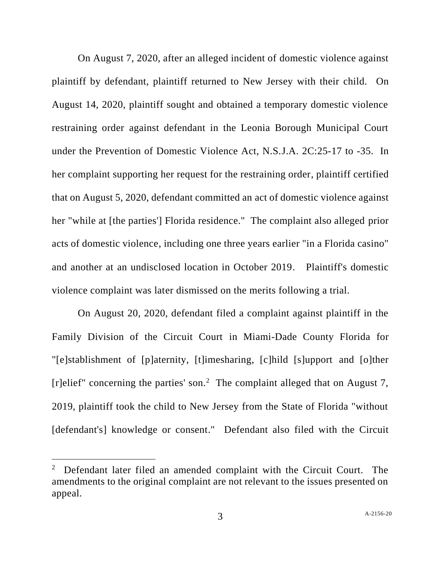On August 7, 2020, after an alleged incident of domestic violence against plaintiff by defendant, plaintiff returned to New Jersey with their child. On August 14, 2020, plaintiff sought and obtained a temporary domestic violence restraining order against defendant in the Leonia Borough Municipal Court under the Prevention of Domestic Violence Act, N.S.J.A. 2C:25-17 to -35. In her complaint supporting her request for the restraining order, plaintiff certified that on August 5, 2020, defendant committed an act of domestic violence against her "while at [the parties'] Florida residence." The complaint also alleged prior acts of domestic violence, including one three years earlier "in a Florida casino" and another at an undisclosed location in October 2019. Plaintiff's domestic violence complaint was later dismissed on the merits following a trial.

On August 20, 2020, defendant filed a complaint against plaintiff in the Family Division of the Circuit Court in Miami-Dade County Florida for "[e]stablishment of [p]aternity, [t]imesharing, [c]hild [s]upport and [o]ther [r]elief" concerning the parties' son.<sup>2</sup> The complaint alleged that on August 7, 2019, plaintiff took the child to New Jersey from the State of Florida "without [defendant's] knowledge or consent." Defendant also filed with the Circuit

 $2$  Defendant later filed an amended complaint with the Circuit Court. The amendments to the original complaint are not relevant to the issues presented on appeal.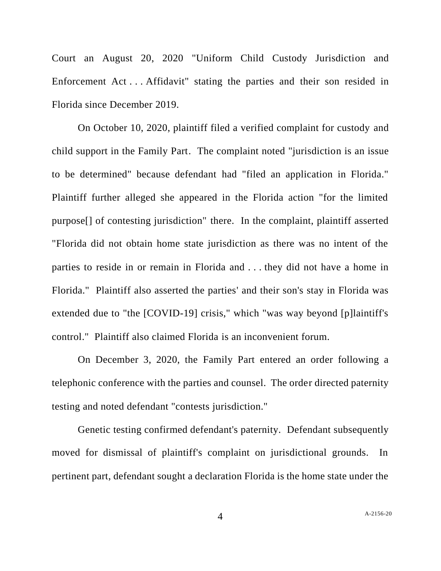Court an August 20, 2020 "Uniform Child Custody Jurisdiction and Enforcement Act . . . Affidavit" stating the parties and their son resided in Florida since December 2019.

On October 10, 2020, plaintiff filed a verified complaint for custody and child support in the Family Part. The complaint noted "jurisdiction is an issue to be determined" because defendant had "filed an application in Florida." Plaintiff further alleged she appeared in the Florida action "for the limited purpose[] of contesting jurisdiction" there. In the complaint, plaintiff asserted "Florida did not obtain home state jurisdiction as there was no intent of the parties to reside in or remain in Florida and . . . they did not have a home in Florida." Plaintiff also asserted the parties' and their son's stay in Florida was extended due to "the [COVID-19] crisis," which "was way beyond [p]laintiff's control." Plaintiff also claimed Florida is an inconvenient forum.

On December 3, 2020, the Family Part entered an order following a telephonic conference with the parties and counsel. The order directed paternity testing and noted defendant "contests jurisdiction."

Genetic testing confirmed defendant's paternity. Defendant subsequently moved for dismissal of plaintiff's complaint on jurisdictional grounds. In pertinent part, defendant sought a declaration Florida is the home state under the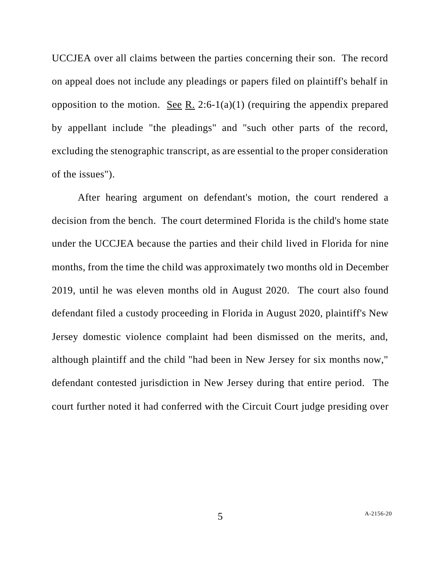UCCJEA over all claims between the parties concerning their son. The record on appeal does not include any pleadings or papers filed on plaintiff's behalf in opposition to the motion. See R. 2:6-1(a)(1) (requiring the appendix prepared by appellant include "the pleadings" and "such other parts of the record, excluding the stenographic transcript, as are essential to the proper consideration of the issues").

After hearing argument on defendant's motion, the court rendered a decision from the bench. The court determined Florida is the child's home state under the UCCJEA because the parties and their child lived in Florida for nine months, from the time the child was approximately two months old in December 2019, until he was eleven months old in August 2020. The court also found defendant filed a custody proceeding in Florida in August 2020, plaintiff's New Jersey domestic violence complaint had been dismissed on the merits, and, although plaintiff and the child "had been in New Jersey for six months now," defendant contested jurisdiction in New Jersey during that entire period. The court further noted it had conferred with the Circuit Court judge presiding over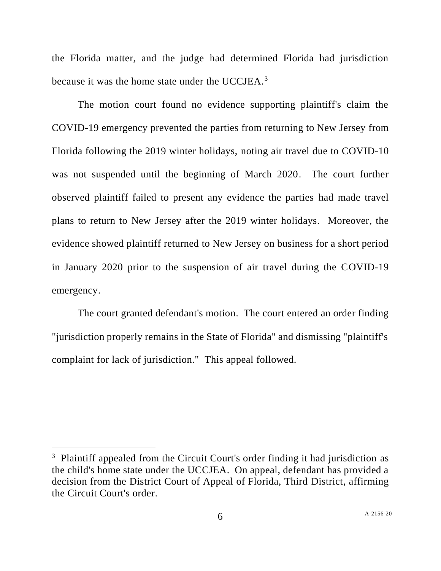the Florida matter, and the judge had determined Florida had jurisdiction because it was the home state under the UCCJEA.<sup>3</sup>

The motion court found no evidence supporting plaintiff's claim the COVID-19 emergency prevented the parties from returning to New Jersey from Florida following the 2019 winter holidays, noting air travel due to COVID-10 was not suspended until the beginning of March 2020. The court further observed plaintiff failed to present any evidence the parties had made travel plans to return to New Jersey after the 2019 winter holidays. Moreover, the evidence showed plaintiff returned to New Jersey on business for a short period in January 2020 prior to the suspension of air travel during the COVID-19 emergency.

The court granted defendant's motion. The court entered an order finding "jurisdiction properly remains in the State of Florida" and dismissing "plaintiff's complaint for lack of jurisdiction." This appeal followed.

<sup>&</sup>lt;sup>3</sup> Plaintiff appealed from the Circuit Court's order finding it had jurisdiction as the child's home state under the UCCJEA. On appeal, defendant has provided a decision from the District Court of Appeal of Florida, Third District, affirming the Circuit Court's order.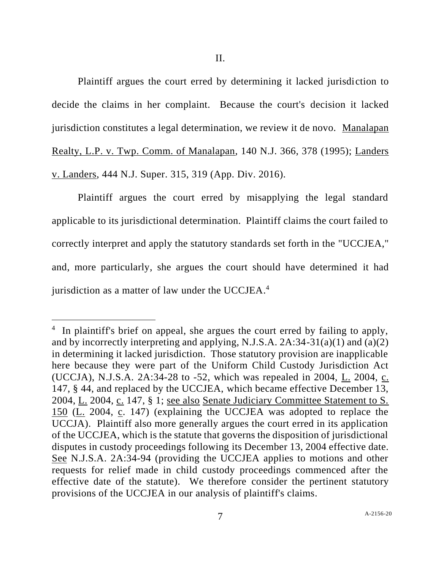Plaintiff argues the court erred by determining it lacked jurisdiction to decide the claims in her complaint. Because the court's decision it lacked jurisdiction constitutes a legal determination, we review it de novo. Manalapan Realty, L.P. v. Twp. Comm. of Manalapan, 140 N.J. 366, 378 (1995); Landers v. Landers, 444 N.J. Super. 315, 319 (App. Div. 2016).

Plaintiff argues the court erred by misapplying the legal standard applicable to its jurisdictional determination. Plaintiff claims the court failed to correctly interpret and apply the statutory standards set forth in the "UCCJEA," and, more particularly, she argues the court should have determined it had jurisdiction as a matter of law under the UCCJEA.<sup>4</sup>

<sup>&</sup>lt;sup>4</sup> In plaintiff's brief on appeal, she argues the court erred by failing to apply, and by incorrectly interpreting and applying, N.J.S.A.  $2A:34-31(a)(1)$  and  $(a)(2)$ in determining it lacked jurisdiction. Those statutory provision are inapplicable here because they were part of the Uniform Child Custody Jurisdiction Act (UCCJA), N.J.S.A*.* 2A:34-28 to -52, which was repealed in 2004, L. 2004, c. 147, § 44, and replaced by the UCCJEA, which became effective December 13, 2004, L. 2004, c. 147, § 1; see also Senate Judiciary Committee Statement to S. 150 (L. 2004, c. 147) (explaining the UCCJEA was adopted to replace the UCCJA). Plaintiff also more generally argues the court erred in its application of the UCCJEA, which is the statute that governs the disposition of jurisdictional disputes in custody proceedings following its December 13, 2004 effective date. See N.J.S.A. 2A:34-94 (providing the UCCJEA applies to motions and other requests for relief made in child custody proceedings commenced after the effective date of the statute). We therefore consider the pertinent statutory provisions of the UCCJEA in our analysis of plaintiff's claims.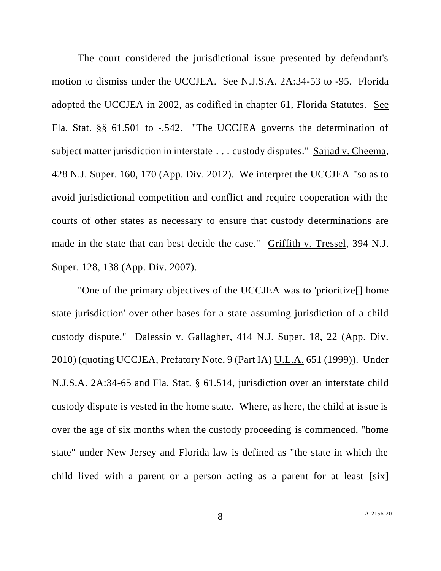The court considered the jurisdictional issue presented by defendant's motion to dismiss under the UCCJEA. See N.J.S.A. 2A:34-53 to -95. Florida adopted the UCCJEA in 2002, as codified in chapter 61, Florida Statutes. See Fla. Stat. §§ 61.501 to -.542. "The UCCJEA governs the determination of subject matter jurisdiction in interstate . . . custody disputes." Sajjad v. Cheema, 428 N.J. Super. 160, 170 (App. Div. 2012). We interpret the UCCJEA "so as to avoid jurisdictional competition and conflict and require cooperation with the courts of other states as necessary to ensure that custody determinations are made in the state that can best decide the case." Griffith v. Tressel, 394 N.J. Super. 128, 138 (App. Div. 2007).

"One of the primary objectives of the UCCJEA was to 'prioritize[] home state jurisdiction' over other bases for a state assuming jurisdiction of a child custody dispute." Dalessio v. Gallagher, 414 N.J. Super. 18, 22 (App. Div. 2010) (quoting UCCJEA, Prefatory Note, 9 (Part IA) U.L.A. 651 (1999)). Under N.J.S.A. 2A:34-65 and Fla. Stat. § 61.514, jurisdiction over an interstate child custody dispute is vested in the home state. Where, as here, the child at issue is over the age of six months when the custody proceeding is commenced, "home state" under New Jersey and Florida law is defined as "the state in which the child lived with a parent or a person acting as a parent for at least [six]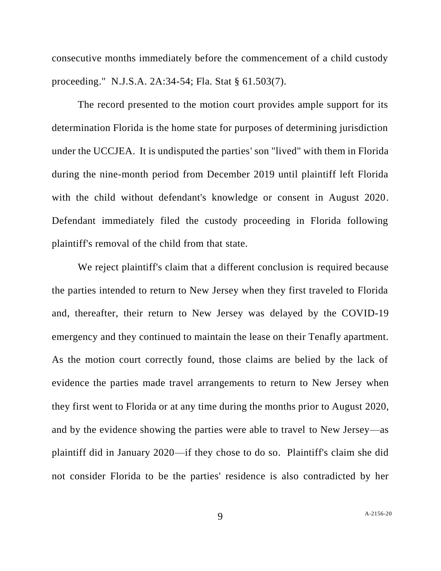consecutive months immediately before the commencement of a child custody proceeding." N.J.S.A. 2A:34-54; Fla. Stat § 61.503(7).

The record presented to the motion court provides ample support for its determination Florida is the home state for purposes of determining jurisdiction under the UCCJEA. It is undisputed the parties' son "lived" with them in Florida during the nine-month period from December 2019 until plaintiff left Florida with the child without defendant's knowledge or consent in August 2020. Defendant immediately filed the custody proceeding in Florida following plaintiff's removal of the child from that state.

We reject plaintiff's claim that a different conclusion is required because the parties intended to return to New Jersey when they first traveled to Florida and, thereafter, their return to New Jersey was delayed by the COVID-19 emergency and they continued to maintain the lease on their Tenafly apartment. As the motion court correctly found, those claims are belied by the lack of evidence the parties made travel arrangements to return to New Jersey when they first went to Florida or at any time during the months prior to August 2020, and by the evidence showing the parties were able to travel to New Jersey—as plaintiff did in January 2020—if they chose to do so. Plaintiff's claim she did not consider Florida to be the parties' residence is also contradicted by her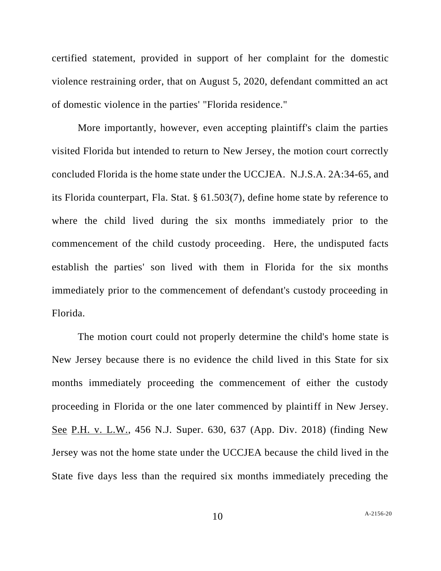certified statement, provided in support of her complaint for the domestic violence restraining order, that on August 5, 2020, defendant committed an act of domestic violence in the parties' "Florida residence."

More importantly, however, even accepting plaintiff's claim the parties visited Florida but intended to return to New Jersey, the motion court correctly concluded Florida is the home state under the UCCJEA. N.J.S.A. 2A:34-65, and its Florida counterpart, Fla. Stat. § 61.503(7), define home state by reference to where the child lived during the six months immediately prior to the commencement of the child custody proceeding. Here, the undisputed facts establish the parties' son lived with them in Florida for the six months immediately prior to the commencement of defendant's custody proceeding in Florida.

The motion court could not properly determine the child's home state is New Jersey because there is no evidence the child lived in this State for six months immediately proceeding the commencement of either the custody proceeding in Florida or the one later commenced by plaintiff in New Jersey. See P.H. v. L.W., 456 N.J. Super. 630, 637 (App. Div. 2018) (finding New Jersey was not the home state under the UCCJEA because the child lived in the State five days less than the required six months immediately preceding the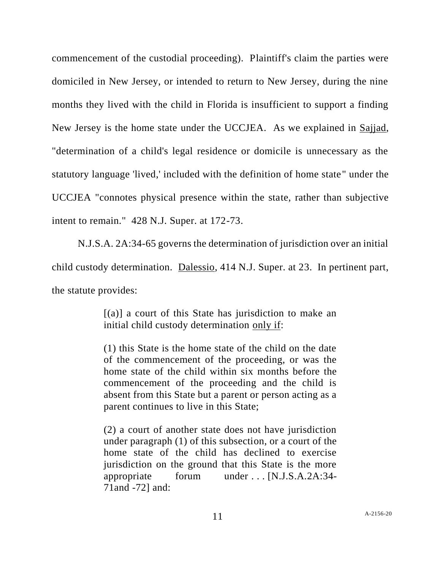commencement of the custodial proceeding). Plaintiff's claim the parties were domiciled in New Jersey, or intended to return to New Jersey, during the nine months they lived with the child in Florida is insufficient to support a finding New Jersey is the home state under the UCCJEA. As we explained in Sajjad, "determination of a child's legal residence or domicile is unnecessary as the statutory language 'lived,' included with the definition of home state" under the UCCJEA "connotes physical presence within the state, rather than subjective intent to remain." 428 N.J. Super. at 172-73.

N.J.S.A. 2A:34-65 governs the determination of jurisdiction over an initial child custody determination. Dalessio, 414 N.J. Super. at 23. In pertinent part, the statute provides:

> $[(a)]$  a court of this State has jurisdiction to make an initial child custody determination only if:

> (1) this State is the home state of the child on the date of the commencement of the proceeding, or was the home state of the child within six months before the commencement of the proceeding and the child is absent from this State but a parent or person acting as a parent continues to live in this State;

> (2) a court of another state does not have jurisdiction under paragraph (1) of this subsection, or a court of the home state of the child has declined to exercise jurisdiction on the ground that this State is the more appropriate forum under . . . [N.J.S.A*.*2A:34- 71and -72] and: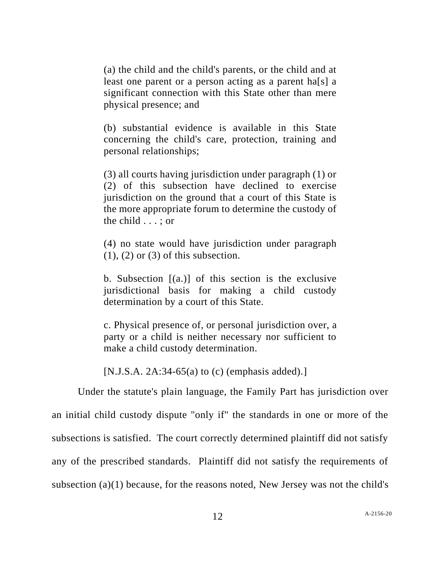(a) the child and the child's parents, or the child and at least one parent or a person acting as a parent ha[s] a significant connection with this State other than mere physical presence; and

(b) substantial evidence is available in this State concerning the child's care, protection, training and personal relationships;

(3) all courts having jurisdiction under paragraph (1) or (2) of this subsection have declined to exercise jurisdiction on the ground that a court of this State is the more appropriate forum to determine the custody of the child . . . ; or

(4) no state would have jurisdiction under paragraph  $(1)$ ,  $(2)$  or  $(3)$  of this subsection.

b. Subsection  $[(a,)]$  of this section is the exclusive jurisdictional basis for making a child custody determination by a court of this State.

c. Physical presence of, or personal jurisdiction over, a party or a child is neither necessary nor sufficient to make a child custody determination.

[N.J.S.A. 2A:34-65(a) to (c) (emphasis added).]

Under the statute's plain language, the Family Part has jurisdiction over an initial child custody dispute "only if" the standards in one or more of the subsections is satisfied. The court correctly determined plaintiff did not satisfy any of the prescribed standards. Plaintiff did not satisfy the requirements of subsection (a)(1) because, for the reasons noted, New Jersey was not the child's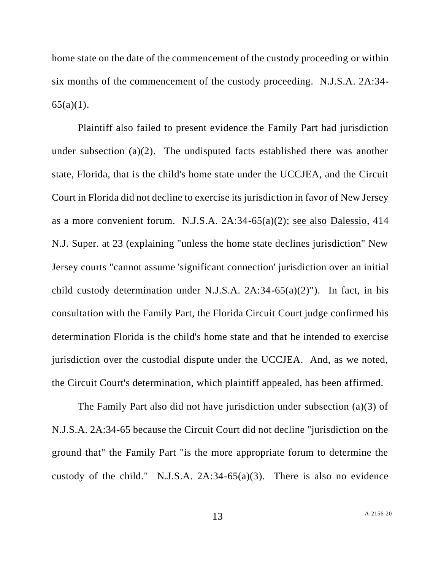home state on the date of the commencement of the custody proceeding or within six months of the commencement of the custody proceeding. N.J.S.A. 2A:34-  $65(a)(1)$ .

Plaintiff also failed to present evidence the Family Part had jurisdiction under subsection  $(a)(2)$ . The undisputed facts established there was another state, Florida, that is the child's home state under the UCCJEA, and the Circuit Court in Florida did not decline to exercise its jurisdiction in favor of New Jersey as a more convenient forum. N.J.S.A. 2A:34-65(a)(2); see also Dalessio, 414 N.J. Super. at 23 (explaining "unless the home state declines jurisdiction" New Jersey courts "cannot assume 'significant connection' jurisdiction over an initial child custody determination under N.J.S.A.  $2A:34-65(a)(2)$ "). In fact, in his consultation with the Family Part, the Florida Circuit Court judge confirmed his determination Florida is the child's home state and that he intended to exercise jurisdiction over the custodial dispute under the UCCJEA. And, as we noted, the Circuit Court's determination, which plaintiff appealed, has been affirmed.

The Family Part also did not have jurisdiction under subsection (a)(3) of N.J.S.A. 2A:34-65 because the Circuit Court did not decline "jurisdiction on the ground that" the Family Part "is the more appropriate forum to determine the custody of the child." N.J.S.A. 2A:34-65(a)(3). There is also no evidence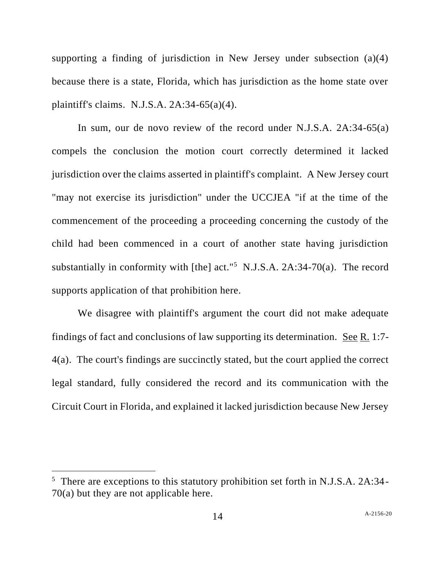supporting a finding of jurisdiction in New Jersey under subsection (a)(4) because there is a state, Florida, which has jurisdiction as the home state over plaintiff's claims. N.J.S.A. 2A:34-65(a)(4).

In sum, our de novo review of the record under N.J.S.A. 2A:34-65(a) compels the conclusion the motion court correctly determined it lacked jurisdiction over the claims asserted in plaintiff's complaint. A New Jersey court "may not exercise its jurisdiction" under the UCCJEA "if at the time of the commencement of the proceeding a proceeding concerning the custody of the child had been commenced in a court of another state having jurisdiction substantially in conformity with [the] act."<sup>5</sup> N.J.S.A. 2A:34-70(a). The record supports application of that prohibition here.

We disagree with plaintiff's argument the court did not make adequate findings of fact and conclusions of law supporting its determination. See R. 1:7- 4(a). The court's findings are succinctly stated, but the court applied the correct legal standard, fully considered the record and its communication with the Circuit Court in Florida, and explained it lacked jurisdiction because New Jersey

<sup>&</sup>lt;sup>5</sup> There are exceptions to this statutory prohibition set forth in N.J.S.A. 2A:34-70(a) but they are not applicable here.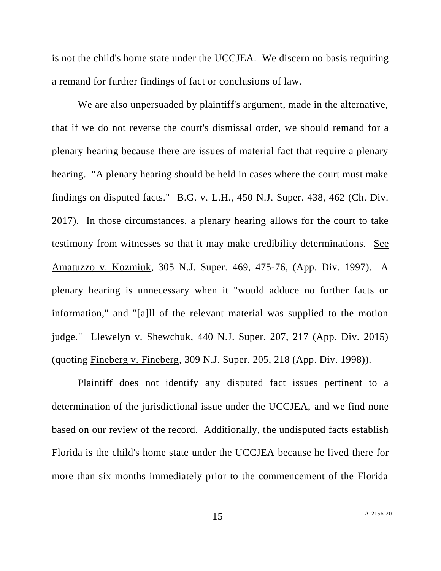is not the child's home state under the UCCJEA. We discern no basis requiring a remand for further findings of fact or conclusions of law.

We are also unpersuaded by plaintiff's argument, made in the alternative, that if we do not reverse the court's dismissal order, we should remand for a plenary hearing because there are issues of material fact that require a plenary hearing. "A plenary hearing should be held in cases where the court must make findings on disputed facts." B.G. v. L.H., 450 N.J. Super. 438, 462 (Ch. Div. 2017). In those circumstances, a plenary hearing allows for the court to take testimony from witnesses so that it may make credibility determinations. See Amatuzzo v. Kozmiuk, 305 N.J. Super*.* 469, 475-76, (App. Div. 1997). A plenary hearing is unnecessary when it "would adduce no further facts or information," and "[a]ll of the relevant material was supplied to the motion judge." Llewelyn v. Shewchuk, 440 N.J. Super. 207, 217 (App. Div. 2015) (quoting Fineberg v. Fineberg, 309 N.J. Super. 205, 218 (App. Div. 1998)).

Plaintiff does not identify any disputed fact issues pertinent to a determination of the jurisdictional issue under the UCCJEA, and we find none based on our review of the record. Additionally, the undisputed facts establish Florida is the child's home state under the UCCJEA because he lived there for more than six months immediately prior to the commencement of the Florida